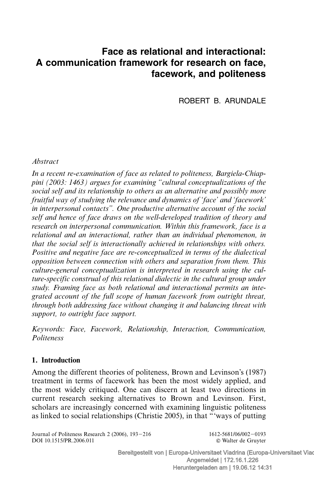# **Face as relational and interactional: A communication framework for research on face, facework, and politeness**

ROBERT B. ARUNDALE

## *Abstract*

*In a recent re-examination of face as related to politeness, Bargiela-Chiappini (2003: 1463) argues for examining "cultural conceptualizations of the social self and its relationship to others as an alternative and possibly more fruitful way of studying the relevance and dynamics of 'face' and 'facework' in interpersonal contacts". One productive alternative account of the social self and hence of face draws on the well-developed tradition of theory and research on interpersonal communication. Within this framework, face is a relational and an interactional, rather than an individual phenomenon, in that the social self is interactionally achieved in relationships with others. Positive and negative face are re-conceptualized in terms of the dialectical opposition between connection with others and separation from them. This culture-general conceptualization is interpreted in research using the culture-specific construal of this relational dialectic in the cultural group under study. Framing face as both relational and interactional permits an integrated account of the full scope of human facework from outright threat, through both addressing face without changing it and balancing threat with support, to outright face support.*

*Keywords: Face, Facework, Relationship, Interaction, Communication, Politeness*

## **1. Introduction**

Among the different theories of politeness, Brown and Levinson's (1987) treatment in terms of facework has been the most widely applied, and the most widely critiqued. One can discern at least two directions in current research seeking alternatives to Brown and Levinson. First, scholars are increasingly concerned with examining linguistic politeness as linked to social relationships (Christie 2005), in that "'ways of putting

Journal of Politeness Research 2 (2006), 193-DOI 10.1515/PR.2006.011

216 1612-5681/06/002-0193 Walter de Gruyter

Bereitgestellt von | Europa-Universitaet Viadrina (Europa-Universitaet Viad Angemeldet | 172.16.1.226 Heruntergeladen am | 19.06.12 14:31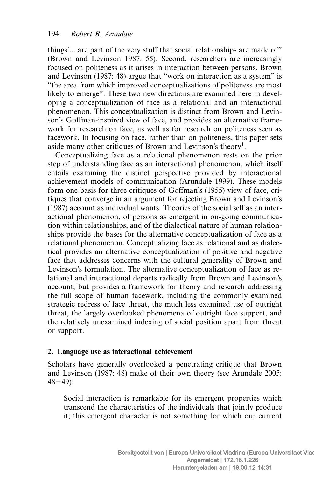things'... are part of the very stuff that social relationships are made of" (Brown and Levinson 1987: 55). Second, researchers are increasingly focused on politeness as it arises in interaction between persons. Brown and Levinson (1987: 48) argue that "work on interaction as a system" is "the area from which improved conceptualizations of politeness are most likely to emerge". These two new directions are examined here in developing a conceptualization of face as a relational and an interactional phenomenon. This conceptualization is distinct from Brown and Levinson's Goffman-inspired view of face, and provides an alternative framework for research on face, as well as for research on politeness seen as facework. In focusing on face, rather than on politeness, this paper sets aside many other critiques of Brown and Levinson's theory<sup>1</sup>.

Conceptualizing face as a relational phenomenon rests on the prior step of understanding face as an interactional phenomenon, which itself entails examining the distinct perspective provided by interactional achievement models of communication (Arundale 1999). These models form one basis for three critiques of Goffman's (1955) view of face, critiques that converge in an argument for rejecting Brown and Levinson's (1987) account as individual wants. Theories of the social self as an interactional phenomenon, of persons as emergent in on-going communication within relationships, and of the dialectical nature of human relationships provide the bases for the alternative conceptualization of face as a relational phenomenon. Conceptualizing face as relational and as dialectical provides an alternative conceptualization of positive and negative face that addresses concerns with the cultural generality of Brown and Levinson's formulation. The alternative conceptualization of face as relational and interactional departs radically from Brown and Levinson's account, but provides a framework for theory and research addressing the full scope of human facework, including the commonly examined strategic redress of face threat, the much less examined use of outright threat, the largely overlooked phenomena of outright face support, and the relatively unexamined indexing of social position apart from threat or support.

## **2. Language use as interactional achievement**

Scholars have generally overlooked a penetrating critique that Brown and Levinson (1987: 48) make of their own theory (see Arundale 2005:  $48 - 49$ :

Social interaction is remarkable for its emergent properties which transcend the characteristics of the individuals that jointly produce it; this emergent character is not something for which our current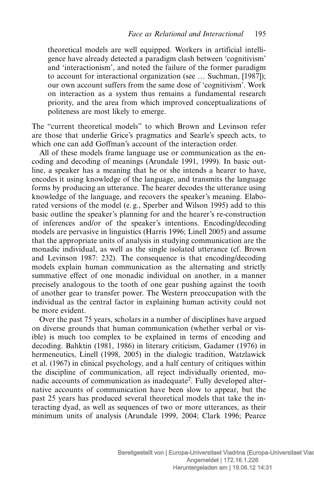theoretical models are well equipped. Workers in artificial intelligence have already detected a paradigm clash between 'cognitivism' and 'interactionism', and noted the failure of the former paradigm to account for interactional organization (see … Suchman, [1987]); our own account suffers from the same dose of 'cognitivism'. Work on interaction as a system thus remains a fundamental research priority, and the area from which improved conceptualizations of politeness are most likely to emerge.

The "current theoretical models" to which Brown and Levinson refer are those that underlie Grice's pragmatics and Searle's speech acts, to which one can add Goffman's account of the interaction order.

All of these models frame language use or communication as the encoding and decoding of meanings (Arundale 1991, 1999). In basic outline, a speaker has a meaning that he or she intends a hearer to have, encodes it using knowledge of the language, and transmits the language forms by producing an utterance. The hearer decodes the utterance using knowledge of the language, and recovers the speaker's meaning. Elaborated versions of the model (e. g., Sperber and Wilson 1995) add to this basic outline the speaker's planning for and the hearer's re-construction of inferences and/or of the speaker's intentions. Encoding/decoding models are pervasive in linguistics (Harris 1996; Linell 2005) and assume that the appropriate units of analysis in studying communication are the monadic individual, as well as the single isolated utterance (cf. Brown and Levinson 1987: 232). The consequence is that encoding/decoding models explain human communication as the alternating and strictly summative effect of one monadic individual on another, in a manner precisely analogous to the tooth of one gear pushing against the tooth of another gear to transfer power. The Western preoccupation with the individual as the central factor in explaining human activity could not be more evident.

Over the past 75 years, scholars in a number of disciplines have argued on diverse grounds that human communication (whether verbal or visible) is much too complex to be explained in terms of encoding and decoding. Bahktin (1981, 1986) in literary criticism, Gadamer (1976) in hermeneutics, Linell (1998, 2005) in the dialogic tradition, Watzlawick et al. (1967) in clinical psychology, and a half century of critiques within the discipline of communication, all reject individually oriented, monadic accounts of communication as inadequate<sup>2</sup>. Fully developed alternative accounts of communication have been slow to appear, but the past 25 years has produced several theoretical models that take the interacting dyad, as well as sequences of two or more utterances, as their minimum units of analysis (Arundale 1999, 2004; Clark 1996; Pearce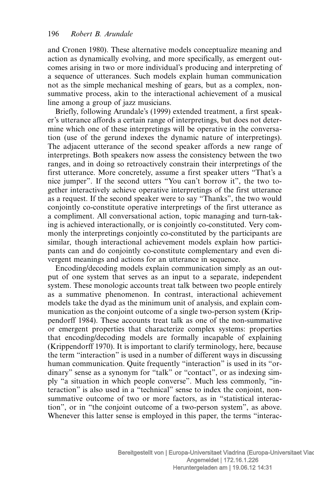and Cronen 1980). These alternative models conceptualize meaning and action as dynamically evolving, and more specifically, as emergent outcomes arising in two or more individual's producing and interpreting of a sequence of utterances. Such models explain human communication not as the simple mechanical meshing of gears, but as a complex, nonsummative process, akin to the interactional achievement of a musical line among a group of jazz musicians.

Briefly, following Arundale's (1999) extended treatment, a first speaker's utterance affords a certain range of interpretings, but does not determine which one of these interpretings will be operative in the conversation (use of the gerund indexes the dynamic nature of interpretings). The adjacent utterance of the second speaker affords a new range of interpretings. Both speakers now assess the consistency between the two ranges, and in doing so retroactively constrain their interpretings of the first utterance. More concretely, assume a first speaker utters "That's a nice jumper". If the second utters "You can't borrow it", the two together interactively achieve operative interpretings of the first utterance as a request. If the second speaker were to say "Thanks", the two would conjointly co-constitute operative interpretings of the first utterance as a compliment. All conversational action, topic managing and turn-taking is achieved interactionally, or is conjointly co-constituted. Very commonly the interpretings conjointly co-constituted by the participants are similar, though interactional achievement models explain how participants can and do conjointly co-constitute complementary and even divergent meanings and actions for an utterance in sequence.

Encoding/decoding models explain communication simply as an output of one system that serves as an input to a separate, independent system. These monologic accounts treat talk between two people entirely as a summative phenomenon. In contrast, interactional achievement models take the dyad as the minimum unit of analysis, and explain communication as the conjoint outcome of a single two-person system (Krippendorff 1984). These accounts treat talk as one of the non-summative or emergent properties that characterize complex systems: properties that encoding/decoding models are formally incapable of explaining (Krippendorff 1970). It is important to clarify terminology, here, because the term "interaction" is used in a number of different ways in discussing human communication. Quite frequently "interaction" is used in its "ordinary" sense as a synonym for "talk" or "contact", or as indexing simply "a situation in which people converse". Much less commonly, "interaction" is also used in a "technical" sense to index the conjoint, nonsummative outcome of two or more factors, as in "statistical interaction", or in "the conjoint outcome of a two-person system", as above. Whenever this latter sense is employed in this paper, the terms "interac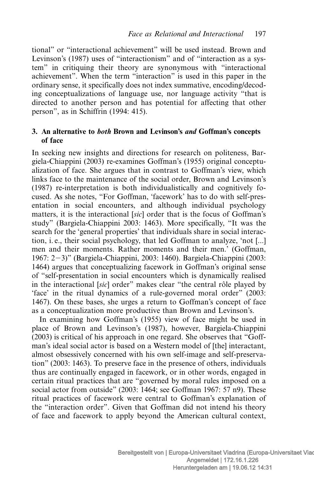tional" or "interactional achievement" will be used instead. Brown and Levinson's (1987) uses of "interactionism" and of "interaction as a system" in critiquing their theory are synonymous with "interactional achievement". When the term "interaction" is used in this paper in the ordinary sense, it specifically does not index summative, encoding/decoding conceptualizations of language use, nor language activity "that is directed to another person and has potential for affecting that other person", as in Schiffrin (1994: 415).

## **3. An alternative to** *both* **Brown and Levinson's** *and* **Goffman's concepts of face**

In seeking new insights and directions for research on politeness, Bargiela-Chiappini (2003) re-examines Goffman's (1955) original conceptualization of face. She argues that in contrast to Goffman's view, which links face to the maintenance of the social order, Brown and Levinson's (1987) re-interpretation is both individualistically and cognitively focused. As she notes, "For Goffman, 'facework' has to do with self-presentation in social encounters, and although individual psychology matters, it is the interactional [*sic*] order that is the focus of Goffman's study" (Bargiela-Chiappini 2003: 1463). More specifically, "It was the search for the 'general properties' that individuals share in social interaction, i. e., their social psychology, that led Goffman to analyze, 'not [...] men and their moments. Rather moments and their men.' (Goffman, 1967: 2-3)" (Bargiela-Chiappini, 2003: 1460). Bargiela-Chiappini (2003: 1464) argues that conceptualizing facework in Goffman's original sense of "self-presentation in social encounters which is dynamically realised in the interactional *[sic]* order" makes clear "the central rôle played by 'face' in the ritual dynamics of a rule-governed moral order" (2003: 1467). On these bases, she urges a return to Goffman's concept of face as a conceptualization more productive than Brown and Levinson's.

In examining how Goffman's (1955) view of face might be used in place of Brown and Levinson's (1987), however, Bargiela-Chiappini (2003) is critical of his approach in one regard. She observes that "Goffman's ideal social actor is based on a Western model of [the] interactant, almost obsessively concerned with his own self-image and self-preservation" (2003: 1463). To preserve face in the presence of others, individuals thus are continually engaged in facework, or in other words, engaged in certain ritual practices that are "governed by moral rules imposed on a social actor from outside" (2003: 1464; see Goffman 1967: 57 n9). These ritual practices of facework were central to Goffman's explanation of the "interaction order". Given that Goffman did not intend his theory of face and facework to apply beyond the American cultural context,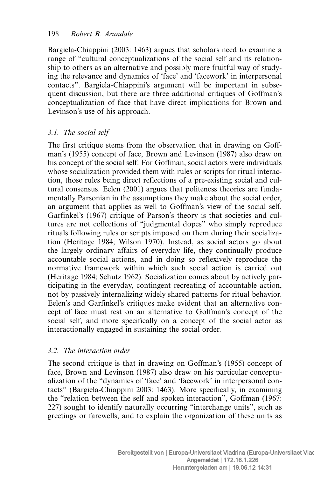Bargiela-Chiappini (2003: 1463) argues that scholars need to examine a range of "cultural conceptualizations of the social self and its relationship to others as an alternative and possibly more fruitful way of studying the relevance and dynamics of 'face' and 'facework' in interpersonal contacts". Bargiela-Chiappini's argument will be important in subsequent discussion, but there are three additional critiques of Goffman's conceptualization of face that have direct implications for Brown and Levinson's use of his approach.

# *3.1. The social self*

The first critique stems from the observation that in drawing on Goffman's (1955) concept of face, Brown and Levinson (1987) also draw on his concept of the social self. For Goffman, social actors were individuals whose socialization provided them with rules or scripts for ritual interaction, those rules being direct reflections of a pre-existing social and cultural consensus. Eelen (2001) argues that politeness theories are fundamentally Parsonian in the assumptions they make about the social order, an argument that applies as well to Goffman's view of the social self. Garfinkel's (1967) critique of Parson's theory is that societies and cultures are not collections of "judgmental dopes" who simply reproduce rituals following rules or scripts imposed on them during their socialization (Heritage 1984; Wilson 1970). Instead, as social actors go about the largely ordinary affairs of everyday life, they continually produce accountable social actions, and in doing so reflexively reproduce the normative framework within which such social action is carried out (Heritage 1984; Schutz 1962). Socialization comes about by actively participating in the everyday, contingent recreating of accountable action, not by passively internalizing widely shared patterns for ritual behavior. Eelen's and Garfinkel's critiques make evident that an alternative concept of face must rest on an alternative to Goffman's concept of the social self, and more specifically on a concept of the social actor as interactionally engaged in sustaining the social order.

# *3.2. The interaction order*

The second critique is that in drawing on Goffman's (1955) concept of face, Brown and Levinson (1987) also draw on his particular conceptualization of the "dynamics of 'face' and 'facework' in interpersonal contacts" (Bargiela-Chiappini 2003: 1463). More specifically, in examining the "relation between the self and spoken interaction", Goffman (1967: 227) sought to identify naturally occurring "interchange units", such as greetings or farewells, and to explain the organization of these units as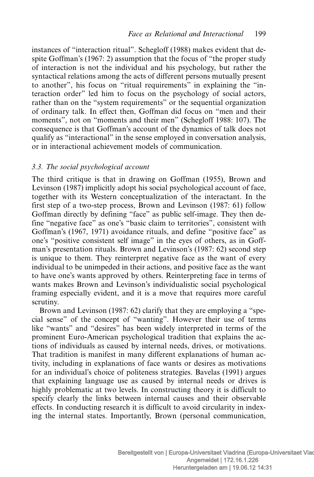instances of "interaction ritual". Schegloff (1988) makes evident that despite Goffman's (1967: 2) assumption that the focus of "the proper study of interaction is not the individual and his psychology, but rather the syntactical relations among the acts of different persons mutually present to another", his focus on "ritual requirements" in explaining the "interaction order" led him to focus on the psychology of social actors, rather than on the "system requirements" or the sequential organization of ordinary talk. In effect then, Goffman did focus on "men and their moments", not on "moments and their men" (Schegloff 1988: 107). The consequence is that Goffman's account of the dynamics of talk does not qualify as "interactional" in the sense employed in conversation analysis, or in interactional achievement models of communication.

## *3.3. The social psychological account*

The third critique is that in drawing on Goffman (1955), Brown and Levinson (1987) implicitly adopt his social psychological account of face, together with its Western conceptualization of the interactant. In the first step of a two-step process, Brown and Levinson (1987: 61) follow Goffman directly by defining "face" as public self-image. They then define "negative face" as one's "basic claim to territories", consistent with Goffman's (1967, 1971) avoidance rituals, and define "positive face" as one's "positive consistent self image" in the eyes of others, as in Goffman's presentation rituals. Brown and Levinson's (1987: 62) second step is unique to them. They reinterpret negative face as the want of every individual to be unimpeded in their actions, and positive face as the want to have one's wants approved by others. Reinterpreting face in terms of wants makes Brown and Levinson's individualistic social psychological framing especially evident, and it is a move that requires more careful scrutiny.

Brown and Levinson (1987: 62) clarify that they are employing a "special sense" of the concept of "wanting". However their use of terms like "wants" and "desires" has been widely interpreted in terms of the prominent Euro-American psychological tradition that explains the actions of individuals as caused by internal needs, drives, or motivations. That tradition is manifest in many different explanations of human activity, including in explanations of face wants or desires as motivations for an individual's choice of politeness strategies. Bavelas (1991) argues that explaining language use as caused by internal needs or drives is highly problematic at two levels. In constructing theory it is difficult to specify clearly the links between internal causes and their observable effects. In conducting research it is difficult to avoid circularity in indexing the internal states. Importantly, Brown (personal communication,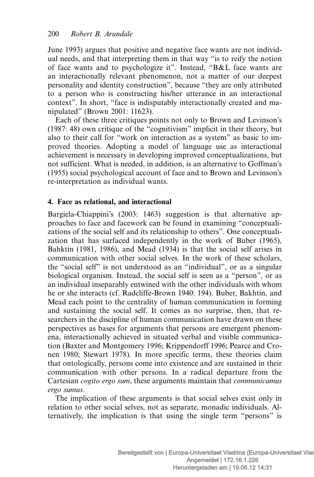June 1993) argues that positive and negative face wants are not individual needs, and that interpreting them in that way "is to reify the notion of face wants and to psychologize it". Instead, "B&L face wants are an interactionally relevant phenomenon, not a matter of our deepest personality and identity construction", because "they are only attributed to a person who is constructing his/her utterance in an interactional context". In short, "face is indisputably interactionally created and manipulated" (Brown 2001: 11623).

Each of these three critiques points not only to Brown and Levinson's (1987: 48) own critique of the "cognitivism" implicit in their theory, but also to their call for "work on interaction as a system" as basic to improved theories. Adopting a model of language use as interactional achievement is necessary in developing improved conceptualizations, but not sufficient. What is needed, in addition, is an alternative to Goffman's (1955) social psychological account of face and to Brown and Levinson's re-interpretation as individual wants.

## **4. Face as relational, and interactional**

Bargiela-Chiappini's (2003: 1463) suggestion is that alternative approaches to face and facework can be found in examining "conceptualizations of the social self and its relationship to others". One conceptualization that has surfaced independently in the work of Buber (1965), Bahktin (1981, 1986), and Mead (1934) is that the social self arises in communication with other social selves. In the work of these scholars, the "social self" is not understood as an "individual", or as a singular biological organism. Instead, the social self is seen as a "person", or as an individual inseparably entwined with the other individuals with whom he or she interacts (cf. Radcliffe-Brown 1940: 194). Buber, Bakhtin, and Mead each point to the centrality of human communication in forming and sustaining the social self. It comes as no surprise, then, that researchers in the discipline of human communication have drawn on these perspectives as bases for arguments that persons are emergent phenomena, interactionally achieved in situated verbal and visible communication (Baxter and Montgomery 1996; Krippendorff 1996; Pearce and Cronen 1980; Stewart 1978). In more specific terms, these theories claim that ontologically, persons come into existence and are sustained in their communication with other persons. In a radical departure from the Cartesian *cogito ergo sum*, these arguments maintain that *communicamus ergo sumus*.

The implication of these arguments is that social selves exist only in relation to other social selves, not as separate, monadic individuals. Alternatively, the implication is that using the single term "persons" is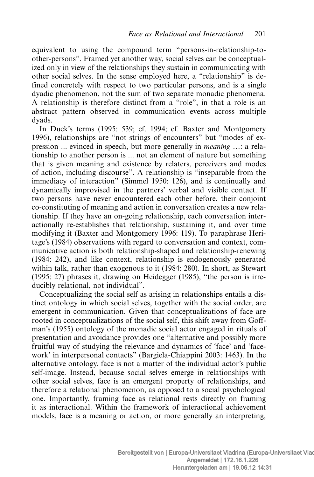equivalent to using the compound term "persons-in-relationship-toother-persons". Framed yet another way, social selves can be conceptualized only in view of the relationships they sustain in communicating with other social selves. In the sense employed here, a "relationship" is defined concretely with respect to two particular persons, and is a single dyadic phenomenon, not the sum of two separate monadic phenomena. A relationship is therefore distinct from a "role", in that a role is an abstract pattern observed in communication events across multiple dyads.

In Duck's terms (1995: 539; cf. 1994; cf. Baxter and Montgomery 1996), relationships are "not strings of encounters" but "modes of expression ... evinced in speech, but more generally in *meaning* …: a relationship to another person is ... not an element of nature but something that is given meaning and existence by relaters, perceivers and modes of action, including discourse". A relationship is "inseparable from the immediacy of interaction" (Simmel 1950: 126), and is continually and dynamically improvised in the partners' verbal and visible contact. If two persons have never encountered each other before, their conjoint co-constituting of meaning and action in conversation creates a new relationship. If they have an on-going relationship, each conversation interactionally re-establishes that relationship, sustaining it, and over time modifying it (Baxter and Montgomery 1996: 119). To paraphrase Heritage's (1984) observations with regard to conversation and context, communicative action is both relationship-shaped and relationship-renewing (1984: 242), and like context, relationship is endogenously generated within talk, rather than exogenous to it (1984: 280). In short, as Stewart (1995: 27) phrases it, drawing on Heidegger (1985), "the person is irreducibly relational, not individual".

Conceptualizing the social self as arising in relationships entails a distinct ontology in which social selves, together with the social order, are emergent in communication. Given that conceptualizations of face are rooted in conceptualizations of the social self, this shift away from Goffman's (1955) ontology of the monadic social actor engaged in rituals of presentation and avoidance provides one "alternative and possibly more fruitful way of studying the relevance and dynamics of 'face' and 'facework' in interpersonal contacts" (Bargiela-Chiappini 2003: 1463). In the alternative ontology, face is not a matter of the individual actor's public self-image. Instead, because social selves emerge in relationships with other social selves, face is an emergent property of relationships, and therefore a relational phenomenon, as opposed to a social psychological one. Importantly, framing face as relational rests directly on framing it as interactional. Within the framework of interactional achievement models, face is a meaning or action, or more generally an interpreting,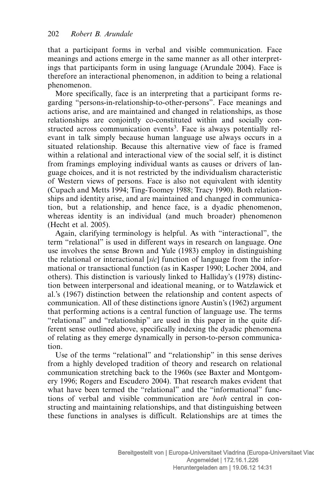that a participant forms in verbal and visible communication. Face meanings and actions emerge in the same manner as all other interpretings that participants form in using language (Arundale 2004). Face is therefore an interactional phenomenon, in addition to being a relational phenomenon.

More specifically, face is an interpreting that a participant forms regarding "persons-in-relationship-to-other-persons". Face meanings and actions arise, and are maintained and changed in relationships, as those relationships are conjointly co-constituted within and socially constructed across communication events<sup>3</sup>. Face is always potentially relevant in talk simply because human language use always occurs in a situated relationship. Because this alternative view of face is framed within a relational and interactional view of the social self, it is distinct from framings employing individual wants as causes or drivers of language choices, and it is not restricted by the individualism characteristic of Western views of persons. Face is also not equivalent with identity (Cupach and Metts 1994; Ting-Toomey 1988; Tracy 1990). Both relationships and identity arise, and are maintained and changed in communication, but a relationship, and hence face, is a dyadic phenomenon, whereas identity is an individual (and much broader) phenomenon (Hecht et al. 2005).

Again, clarifying terminology is helpful. As with "interactional", the term "relational" is used in different ways in research on language. One use involves the sense Brown and Yule (1983) employ in distinguishing the relational or interactional [*sic*] function of language from the informational or transactional function (as in Kasper 1990; Locher 2004, and others). This distinction is variously linked to Halliday's (1978) distinction between interpersonal and ideational meaning, or to Watzlawick et al.'s (1967) distinction between the relationship and content aspects of communication. All of these distinctions ignore Austin's (1962) argument that performing actions is a central function of language use. The terms "relational" and "relationship" are used in this paper in the quite different sense outlined above, specifically indexing the dyadic phenomena of relating as they emerge dynamically in person-to-person communication.

Use of the terms "relational" and "relationship" in this sense derives from a highly developed tradition of theory and research on relational communication stretching back to the 1960s (see Baxter and Montgomery 1996; Rogers and Escudero 2004). That research makes evident that what have been termed the "relational" and the "informational" functions of verbal and visible communication are *both* central in constructing and maintaining relationships, and that distinguishing between these functions in analyses is difficult. Relationships are at times the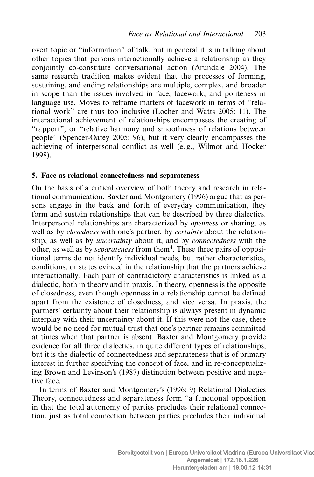overt topic or "information" of talk, but in general it is in talking about other topics that persons interactionally achieve a relationship as they conjointly co-constitute conversational action (Arundale 2004). The same research tradition makes evident that the processes of forming, sustaining, and ending relationships are multiple, complex, and broader in scope than the issues involved in face, facework, and politeness in language use. Moves to reframe matters of facework in terms of "relational work" are thus too inclusive (Locher and Watts 2005: 11). The interactional achievement of relationships encompasses the creating of "rapport", or "relative harmony and smoothness of relations between people" (Spencer-Oatey 2005: 96), but it very clearly encompasses the achieving of interpersonal conflict as well (e. g., Wilmot and Hocker 1998).

#### **5. Face as relational connectedness and separateness**

On the basis of a critical overview of both theory and research in relational communication, Baxter and Montgomery (1996) argue that as persons engage in the back and forth of everyday communication, they form and sustain relationships that can be described by three dialectics. Interpersonal relationships are characterized by *openness* or sharing, as well as by *closedness* with one's partner, by *certainty* about the relationship, as well as by *uncertainty* about it, and by *connectedness* with the other, as well as by *separateness* from them<sup>4</sup>. These three pairs of oppositional terms do not identify individual needs, but rather characteristics, conditions, or states evinced in the relationship that the partners achieve interactionally. Each pair of contradictory characteristics is linked as a dialectic, both in theory and in praxis. In theory, openness is the opposite of closedness, even though openness in a relationship cannot be defined apart from the existence of closedness, and vice versa. In praxis, the partners' certainty about their relationship is always present in dynamic interplay with their uncertainty about it. If this were not the case, there would be no need for mutual trust that one's partner remains committed at times when that partner is absent. Baxter and Montgomery provide evidence for all three dialectics, in quite different types of relationships, but it is the dialectic of connectedness and separateness that is of primary interest in further specifying the concept of face, and in re-conceptualizing Brown and Levinson's (1987) distinction between positive and negative face.

In terms of Baxter and Montgomery's (1996: 9) Relational Dialectics Theory, connectedness and separateness form "a functional opposition in that the total autonomy of parties precludes their relational connection, just as total connection between parties precludes their individual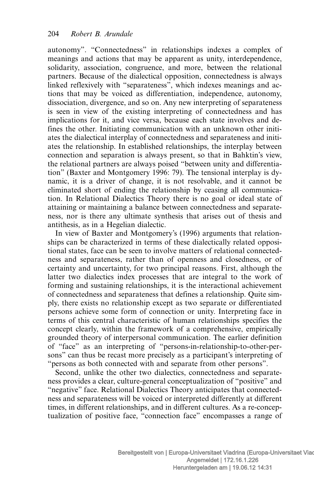autonomy". "Connectedness" in relationships indexes a complex of meanings and actions that may be apparent as unity, interdependence, solidarity, association, congruence, and more, between the relational partners. Because of the dialectical opposition, connectedness is always linked reflexively with "separateness", which indexes meanings and actions that may be voiced as differentiation, independence, autonomy, dissociation, divergence, and so on. Any new interpreting of separateness is seen in view of the existing interpreting of connectedness and has implications for it, and vice versa, because each state involves and defines the other. Initiating communication with an unknown other initiates the dialectical interplay of connectedness and separateness and initiates the relationship. In established relationships, the interplay between connection and separation is always present, so that in Bahktin's view, the relational partners are always poised "between unity and differentiation" (Baxter and Montgomery 1996: 79). The tensional interplay is dynamic, it is a driver of change, it is not resolvable, and it cannot be eliminated short of ending the relationship by ceasing all communication. In Relational Dialectics Theory there is no goal or ideal state of attaining or maintaining a balance between connectedness and separateness, nor is there any ultimate synthesis that arises out of thesis and antithesis, as in a Hegelian dialectic.

In view of Baxter and Montgomery's (1996) arguments that relationships can be characterized in terms of these dialectically related oppositional states, face can be seen to involve matters of relational connectedness and separateness, rather than of openness and closedness, or of certainty and uncertainty, for two principal reasons. First, although the latter two dialectics index processes that are integral to the work of forming and sustaining relationships, it is the interactional achievement of connectedness and separateness that defines a relationship. Quite simply, there exists no relationship except as two separate or differentiated persons achieve some form of connection or unity. Interpreting face in terms of this central characteristic of human relationships specifies the concept clearly, within the framework of a comprehensive, empirically grounded theory of interpersonal communication. The earlier definition of "face" as an interpreting of "persons-in-relationship-to-other-persons" can thus be recast more precisely as a participant's interpreting of "persons as both connected with and separate from other persons".

Second, unlike the other two dialectics, connectedness and separateness provides a clear, culture-general conceptualization of "positive" and "negative" face. Relational Dialectics Theory anticipates that connectedness and separateness will be voiced or interpreted differently at different times, in different relationships, and in different cultures. As a re-conceptualization of positive face, "connection face" encompasses a range of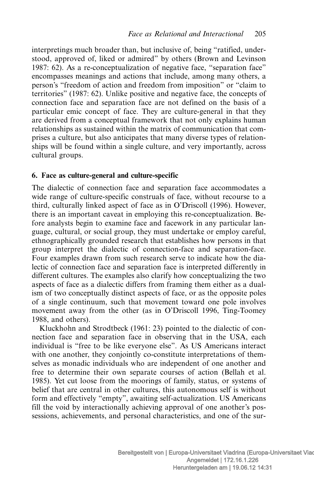interpretings much broader than, but inclusive of, being "ratified, understood, approved of, liked or admired" by others (Brown and Levinson 1987: 62). As a re-conceptualization of negative face, "separation face" encompasses meanings and actions that include, among many others, a person's "freedom of action and freedom from imposition" or "claim to territories" (1987: 62). Unlike positive and negative face, the concepts of connection face and separation face are not defined on the basis of a particular emic concept of face. They are culture-general in that they are derived from a conceptual framework that not only explains human relationships as sustained within the matrix of communication that comprises a culture, but also anticipates that many diverse types of relationships will be found within a single culture, and very importantly, across cultural groups.

#### **6. Face as culture-general and culture-specific**

The dialectic of connection face and separation face accommodates a wide range of culture-specific construals of face, without recourse to a third, culturally linked aspect of face as in O'Driscoll (1996). However, there is an important caveat in employing this re-conceptualization. Before analysts begin to examine face and facework in any particular language, cultural, or social group, they must undertake or employ careful, ethnographically grounded research that establishes how persons in that group interpret the dialectic of connection-face and separation-face. Four examples drawn from such research serve to indicate how the dialectic of connection face and separation face is interpreted differently in different cultures. The examples also clarify how conceptualizing the two aspects of face as a dialectic differs from framing them either as a dualism of two conceptually distinct aspects of face, or as the opposite poles of a single continuum, such that movement toward one pole involves movement away from the other (as in O'Driscoll 1996, Ting-Toomey 1988, and others).

Kluckhohn and Strodtbeck (1961: 23) pointed to the dialectic of connection face and separation face in observing that in the USA, each individual is "free to be like everyone else". As US Americans interact with one another, they conjointly co-constitute interpretations of themselves as monadic individuals who are independent of one another and free to determine their own separate courses of action (Bellah et al. 1985). Yet cut loose from the moorings of family, status, or systems of belief that are central in other cultures, this autonomous self is without form and effectively "empty", awaiting self-actualization. US Americans fill the void by interactionally achieving approval of one another's possessions, achievements, and personal characteristics, and one of the sur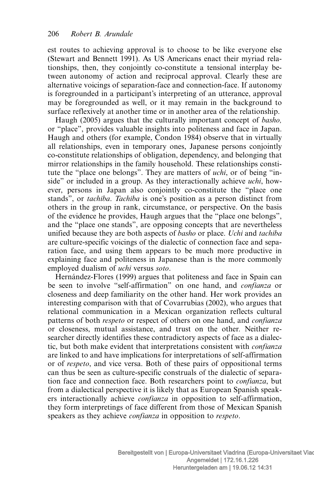est routes to achieving approval is to choose to be like everyone else (Stewart and Bennett 1991). As US Americans enact their myriad relationships, then, they conjointly co-constitute a tensional interplay between autonomy of action and reciprocal approval. Clearly these are alternative voicings of separation-face and connection-face. If autonomy is foregrounded in a participant's interpreting of an utterance, approval may be foregrounded as well, or it may remain in the background to surface reflexively at another time or in another area of the relationship.

Haugh (2005) argues that the culturally important concept of *basho,* or "place", provides valuable insights into politeness and face in Japan. Haugh and others (for example, Condon 1984) observe that in virtually all relationships, even in temporary ones, Japanese persons conjointly co-constitute relationships of obligation, dependency, and belonging that mirror relationships in the family household. These relationships constitute the "place one belongs". They are matters of *uchi*, or of being "inside" or included in a group. As they interactionally achieve *uchi*, however, persons in Japan also conjointly co-constitute the "place one stands", or *tachiba*. *Tachiba* is one's position as a person distinct from others in the group in rank, circumstance, or perspective. On the basis of the evidence he provides, Haugh argues that the "place one belongs", and the "place one stands", are opposing concepts that are nevertheless unified because they are both aspects of *basho* or place. *Uchi* and *tachiba* are culture-specific voicings of the dialectic of connection face and separation face, and using them appears to be much more productive in explaining face and politeness in Japanese than is the more commonly employed dualism of *uchi* versus *soto*.

Hernández-Flores (1999) argues that politeness and face in Spain can be seen to involve "self-affirmation" on one hand, and *confianza* or closeness and deep familiarity on the other hand. Her work provides an interesting comparison with that of Covarrubias (2002), who argues that relational communication in a Mexican organization reflects cultural patterns of both *respeto* or respect of others on one hand, and *confianza* or closeness, mutual assistance, and trust on the other. Neither researcher directly identifies these contradictory aspects of face as a dialectic, but both make evident that interpretations consistent with *confianza* are linked to and have implications for interpretations of self-affirmation or of *respeto*, and vice versa. Both of these pairs of oppositional terms can thus be seen as culture-specific construals of the dialectic of separation face and connection face. Both researchers point to *confianza*, but from a dialectical perspective it is likely that as European Spanish speakers interactionally achieve *confianza* in opposition to self-affirmation, they form interpretings of face different from those of Mexican Spanish speakers as they achieve *confianza* in opposition to *respeto*.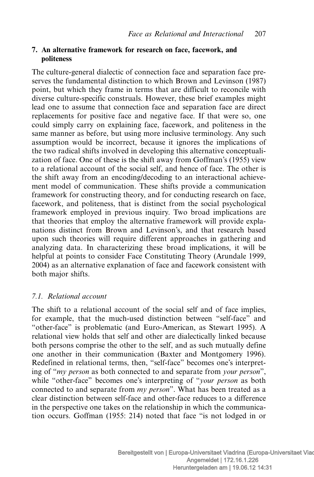## **7. An alternative framework for research on face, facework, and politeness**

The culture-general dialectic of connection face and separation face preserves the fundamental distinction to which Brown and Levinson (1987) point, but which they frame in terms that are difficult to reconcile with diverse culture-specific construals. However, these brief examples might lead one to assume that connection face and separation face are direct replacements for positive face and negative face. If that were so, one could simply carry on explaining face, facework, and politeness in the same manner as before, but using more inclusive terminology. Any such assumption would be incorrect, because it ignores the implications of the two radical shifts involved in developing this alternative conceptualization of face. One of these is the shift away from Goffman's (1955) view to a relational account of the social self, and hence of face. The other is the shift away from an encoding/decoding to an interactional achievement model of communication. These shifts provide a communication framework for constructing theory, and for conducting research on face, facework, and politeness, that is distinct from the social psychological framework employed in previous inquiry. Two broad implications are that theories that employ the alternative framework will provide explanations distinct from Brown and Levinson's, and that research based upon such theories will require different approaches in gathering and analyzing data. In characterizing these broad implications, it will be helpful at points to consider Face Constituting Theory (Arundale 1999, 2004) as an alternative explanation of face and facework consistent with both major shifts.

## *7.1. Relational account*

The shift to a relational account of the social self and of face implies, for example, that the much-used distinction between "self-face" and "other-face" is problematic (and Euro-American, as Stewart 1995). A relational view holds that self and other are dialectically linked because both persons comprise the other to the self, and as such mutually define one another in their communication (Baxter and Montgomery 1996). Redefined in relational terms, then, "self-face" becomes one's interpreting of "*my person* as both connected to and separate from *your person*", while "other-face" becomes one's interpreting of "*your person* as both connected to and separate from *my person*". What has been treated as a clear distinction between self-face and other-face reduces to a difference in the perspective one takes on the relationship in which the communication occurs. Goffman (1955: 214) noted that face "is not lodged in or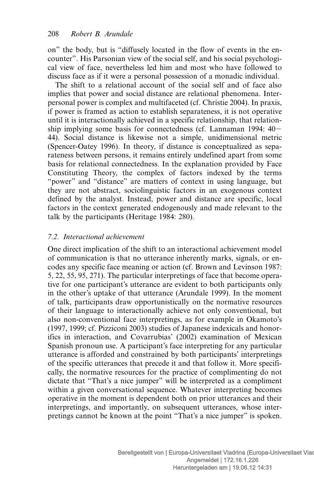on" the body, but is "diffusely located in the flow of events in the encounter". His Parsonian view of the social self, and his social psychological view of face, nevertheless led him and most who have followed to discuss face as if it were a personal possession of a monadic individual.

The shift to a relational account of the social self and of face also implies that power and social distance are relational phenomena. Interpersonal power is complex and multifaceted (cf. Christie 2004). In praxis, if power is framed as action to establish separateness, it is not operative until it is interactionally achieved in a specific relationship, that relationship implying some basis for connectedness (cf. Lannaman 1994: 40- 44). Social distance is likewise not a simple, unidimensional metric (Spencer-Oatey 1996). In theory, if distance is conceptualized as separateness between persons, it remains entirely undefined apart from some basis for relational connectedness. In the explanation provided by Face Constituting Theory, the complex of factors indexed by the terms "power" and "distance" are matters of context in using language, but they are not abstract, sociolinguistic factors in an exogenous context defined by the analyst. Instead, power and distance are specific, local factors in the context generated endogenously and made relevant to the talk by the participants (Heritage 1984: 280).

## *7.2. Interactional achievement*

One direct implication of the shift to an interactional achievement model of communication is that no utterance inherently marks, signals, or encodes any specific face meaning or action (cf. Brown and Levinson 1987: 5, 22, 55, 95, 271). The particular interpretings of face that become operative for one participant's utterance are evident to both participants only in the other's uptake of that utterance (Arundale 1999). In the moment of talk, participants draw opportunistically on the normative resources of their language to interactionally achieve not only conventional, but also non-conventional face interpretings, as for example in Okamoto's (1997, 1999; cf. Pizziconi 2003) studies of Japanese indexicals and honorifics in interaction, and Covarrubias' (2002) examination of Mexican Spanish pronoun use. A participant's face interpreting for any particular utterance is afforded and constrained by both participants' interpretings of the specific utterances that precede it and that follow it. More specifically, the normative resources for the practice of complimenting do not dictate that "That's a nice jumper" will be interpreted as a compliment within a given conversational sequence. Whatever interpreting becomes operative in the moment is dependent both on prior utterances and their interpretings, and importantly, on subsequent utterances, whose interpretings cannot be known at the point "That's a nice jumper" is spoken.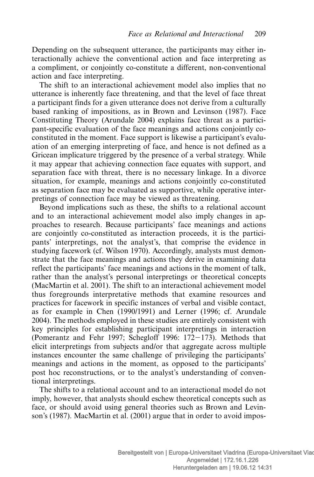Depending on the subsequent utterance, the participants may either interactionally achieve the conventional action and face interpreting as a compliment, or conjointly co-constitute a different, non-conventional action and face interpreting.

The shift to an interactional achievement model also implies that no utterance is inherently face threatening, and that the level of face threat a participant finds for a given utterance does not derive from a culturally based ranking of impositions, as in Brown and Levinson (1987). Face Constituting Theory (Arundale 2004) explains face threat as a participant-specific evaluation of the face meanings and actions conjointly coconstituted in the moment. Face support is likewise a participant's evaluation of an emerging interpreting of face, and hence is not defined as a Gricean implicature triggered by the presence of a verbal strategy. While it may appear that achieving connection face equates with support, and separation face with threat, there is no necessary linkage. In a divorce situation, for example, meanings and actions conjointly co-constituted as separation face may be evaluated as supportive, while operative interpretings of connection face may be viewed as threatening.

Beyond implications such as these, the shifts to a relational account and to an interactional achievement model also imply changes in approaches to research. Because participants' face meanings and actions are conjointly co-constituted as interaction proceeds, it is the participants' interpretings, not the analyst's, that comprise the evidence in studying facework (cf. Wilson 1970). Accordingly, analysts must demonstrate that the face meanings and actions they derive in examining data reflect the participants' face meanings and actions in the moment of talk, rather than the analyst's personal interpretings or theoretical concepts (MacMartin et al. 2001). The shift to an interactional achievement model thus foregrounds interpretative methods that examine resources and practices for facework in specific instances of verbal and visible contact, as for example in Chen (1990/1991) and Lerner (1996; cf. Arundale 2004). The methods employed in these studies are entirely consistent with key principles for establishing participant interpretings in interaction (Pomerantz and Fehr 1997; Schegloff 1996: 172-173). Methods that elicit interpretings from subjects and/or that aggregate across multiple instances encounter the same challenge of privileging the participants' meanings and actions in the moment, as opposed to the participants' post hoc reconstructions, or to the analyst's understanding of conventional interpretings.

The shifts to a relational account and to an interactional model do not imply, however, that analysts should eschew theoretical concepts such as face, or should avoid using general theories such as Brown and Levinson's (1987). MacMartin et al. (2001) argue that in order to avoid impos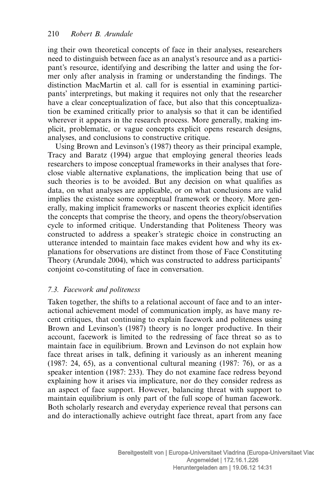ing their own theoretical concepts of face in their analyses, researchers need to distinguish between face as an analyst's resource and as a participant's resource, identifying and describing the latter and using the former only after analysis in framing or understanding the findings. The distinction MacMartin et al. call for is essential in examining participants' interpretings, but making it requires not only that the researcher have a clear conceptualization of face, but also that this conceptualization be examined critically prior to analysis so that it can be identified wherever it appears in the research process. More generally, making implicit, problematic, or vague concepts explicit opens research designs, analyses, and conclusions to constructive critique.

Using Brown and Levinson's (1987) theory as their principal example, Tracy and Baratz (1994) argue that employing general theories leads researchers to impose conceptual frameworks in their analyses that foreclose viable alternative explanations, the implication being that use of such theories is to be avoided. But any decision on what qualifies as data, on what analyses are applicable, or on what conclusions are valid implies the existence some conceptual framework or theory. More generally, making implicit frameworks or nascent theories explicit identifies the concepts that comprise the theory, and opens the theory/observation cycle to informed critique. Understanding that Politeness Theory was constructed to address a speaker's strategic choice in constructing an utterance intended to maintain face makes evident how and why its explanations for observations are distinct from those of Face Constituting Theory (Arundale 2004), which was constructed to address participants' conjoint co-constituting of face in conversation.

# *7.3. Facework and politeness*

Taken together, the shifts to a relational account of face and to an interactional achievement model of communication imply, as have many recent critiques, that continuing to explain facework and politeness using Brown and Levinson's (1987) theory is no longer productive. In their account, facework is limited to the redressing of face threat so as to maintain face in equilibrium. Brown and Levinson do not explain how face threat arises in talk, defining it variously as an inherent meaning (1987: 24, 65), as a conventional cultural meaning (1987: 76), or as a speaker intention (1987: 233). They do not examine face redress beyond explaining how it arises via implicature, nor do they consider redress as an aspect of face support. However, balancing threat with support to maintain equilibrium is only part of the full scope of human facework. Both scholarly research and everyday experience reveal that persons can and do interactionally achieve outright face threat, apart from any face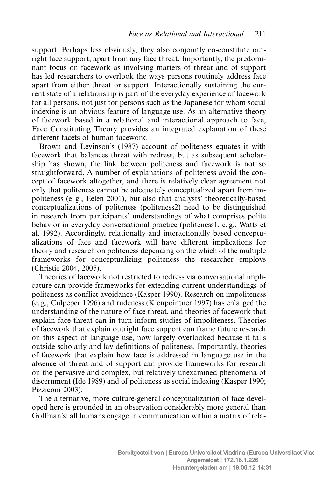support. Perhaps less obviously, they also conjointly co-constitute outright face support, apart from any face threat. Importantly, the predominant focus on facework as involving matters of threat and of support has led researchers to overlook the ways persons routinely address face apart from either threat or support. Interactionally sustaining the current state of a relationship is part of the everyday experience of facework for all persons, not just for persons such as the Japanese for whom social indexing is an obvious feature of language use. As an alternative theory of facework based in a relational and interactional approach to face, Face Constituting Theory provides an integrated explanation of these different facets of human facework.

Brown and Levinson's (1987) account of politeness equates it with facework that balances threat with redress, but as subsequent scholarship has shown, the link between politeness and facework is not so straightforward. A number of explanations of politeness avoid the concept of facework altogether, and there is relatively clear agreement not only that politeness cannot be adequately conceptualized apart from impoliteness (e. g., Eelen 2001), but also that analysts' theoretically-based conceptualizations of politeness (politeness2) need to be distinguished in research from participants' understandings of what comprises polite behavior in everyday conversational practice (politeness1, e. g., Watts et al. 1992). Accordingly, relationally and interactionally based conceptualizations of face and facework will have different implications for theory and research on politeness depending on the which of the multiple frameworks for conceptualizing politeness the researcher employs (Christie 2004, 2005).

Theories of facework not restricted to redress via conversational implicature can provide frameworks for extending current understandings of politeness as conflict avoidance (Kasper 1990). Research on impoliteness (e. g., Culpeper 1996) and rudeness (Kienpointner 1997) has enlarged the understanding of the nature of face threat, and theories of facework that explain face threat can in turn inform studies of impoliteness. Theories of facework that explain outright face support can frame future research on this aspect of language use, now largely overlooked because it falls outside scholarly and lay definitions of politeness. Importantly, theories of facework that explain how face is addressed in language use in the absence of threat and of support can provide frameworks for research on the pervasive and complex, but relatively unexamined phenomena of discernment (Ide 1989) and of politeness as social indexing (Kasper 1990; Pizziconi 2003).

The alternative, more culture-general conceptualization of face developed here is grounded in an observation considerably more general than Goffman's: all humans engage in communication within a matrix of rela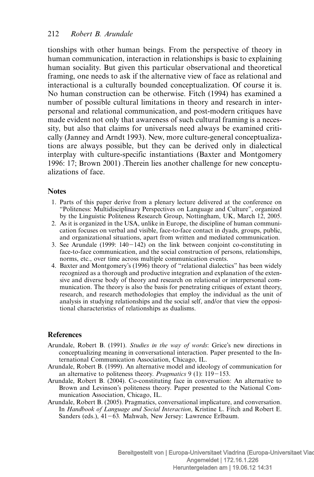tionships with other human beings. From the perspective of theory in human communication, interaction in relationships is basic to explaining human sociality. But given this particular observational and theoretical framing, one needs to ask if the alternative view of face as relational and interactional is a culturally bounded conceptualization. Of course it is. No human construction can be otherwise. Fitch (1994) has examined a number of possible cultural limitations in theory and research in interpersonal and relational communication, and post-modern critiques have made evident not only that awareness of such cultural framing is a necessity, but also that claims for universals need always be examined critically (Janney and Arndt 1993). New, more culture-general conceptualizations are always possible, but they can be derived only in dialectical interplay with culture-specific instantiations (Baxter and Montgomery 1996: 17; Brown 2001) .Therein lies another challenge for new conceptualizations of face.

#### **Notes**

- 1. Parts of this paper derive from a plenary lecture delivered at the conference on "Politeness: Multidisciplinary Perspectives on Language and Culture", organized by the Linguistic Politeness Research Group, Nottingham, UK, March 12, 2005.
- 2. As it is organized in the USA, unlike in Europe, the discipline of human communication focuses on verbal and visible, face-to-face contact in dyads, groups, public, and organizational situations, apart from written and mediated communication.
- 3. See Arundale (1999: 140-142) on the link between conjoint co-constituting in face-to-face communication, and the social construction of persons, relationships, norms, etc., over time across multiple communication events.
- 4. Baxter and Montgomery's (1996) theory of "relational dialectics" has been widely recognized as a thorough and productive integration and explanation of the extensive and diverse body of theory and research on relational or interpersonal communication. The theory is also the basis for penetrating critiques of extant theory, research, and research methodologies that employ the individual as the unit of analysis in studying relationships and the social self, and/or that view the oppositional characteristics of relationships as dualisms.

#### **References**

- Arundale, Robert B. (1991). *Studies in the way of words*: Grice's new directions in conceptualizing meaning in conversational interaction. Paper presented to the International Communication Association, Chicago, IL.
- Arundale, Robert B. (1999). An alternative model and ideology of communication for an alternative to politeness theory. *Pragmatics* 9 (1): 119-153.
- Arundale, Robert B. (2004). Co-constituting face in conversation: An alternative to Brown and Levinson's politeness theory. Paper presented to the National Communication Association, Chicago, IL.
- Arundale, Robert B. (2005). Pragmatics, conversational implicature, and conversation. In *Handbook of Language and Social Interaction*, Kristine L. Fitch and Robert E. Sanders (eds.), 41-63*.* Mahwah, New Jersey: Lawrence Erlbaum.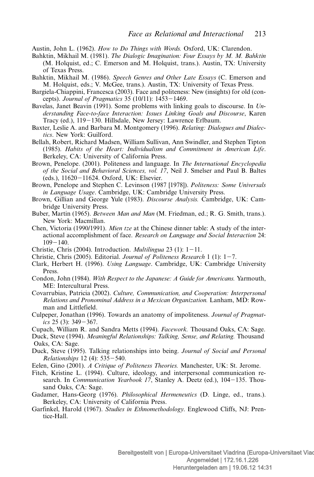Austin, John L. (1962). *How to Do Things with Words.* Oxford, UK: Clarendon.

- Bahktin, Mikhail M. (1981). *The Dialogic Imagination: Four Essays by M. M. Bahktin* (M. Holquist, ed.; C. Emerson and M. Holquist, trans.). Austin, TX: University of Texas Press.
- Bahktin, Mikhail M. (1986). *Speech Genres and Other Late Essays* (C. Emerson and M. Holquist, eds.; V. McGee, trans.). Austin, TX: University of Texas Press.
- Bargiela-Chiappini, Francesca (2003). Face and politeness: New (insights) for old (concepts). *Journal of Pragmatics* 35 (10/11): 1453-1469.
- Bavelas, Janet Beavin (1991). Some problems with linking goals to discourse. In *Understanding Face-to-face Interaction: Issues Linking Goals and Discourse*, Karen Tracy (ed.), 119-130. Hillsdale, New Jersey: Lawrence Erlbaum.
- Baxter, Leslie A. and Barbara M. Montgomery (1996). *Relating: Dialogues and Dialectics*. New York: Guilford.
- Bellah, Robert, Richard Madsen, William Sullivan, Ann Swindler, and Stephen Tipton (1985). *Habits of the Heart: Individualism and Commitment in American Life*. Berkeley, CA: University of California Press.
- Brown, Penelope. (2001). Politeness and language. In *The International Encyclopedia of the Social and Behavioral Sciences, vol. 17*, Neil J. Smelser and Paul B. Baltes (eds.), 11620-11624. Oxford, UK: Elsevier.
- Brown, Penelope and Stephen C. Levinson (1987 [1978]). *Politeness: Some Universals in Language Usage*. Cambridge, UK: Cambridge University Press.
- Brown, Gillian and George Yule (1983). *Discourse Analysis.* Cambridge, UK: Cambridge University Press.
- Buber, Martin (1965). *Between Man and Man* (M. Friedman, ed.; R. G. Smith, trans.). New York: Macmillan.
- Chen, Victoria (1990/1991). *Mien tze* at the Chinese dinner table: A study of the interactional accomplishment of face. *Research on Language and Social Interaction* 24:  $109 - 140.$
- Christie, Chris (2004). Introduction. *Multilingua* 23 (1): 1-11.
- Christie, Chris (2005). Editorial. *Journal of Politeness Research* 1 (1): 1-7.
- Clark, Herbert H. (1996). *Using Language*. Cambridge, UK: Cambridge University Press.
- Condon, John (1984). *With Respect to the Japanese: A Guide for Americans.* Yarmouth, ME: Intercultural Press.
- Covarrubias, Patricia (2002). *Culture, Communication, and Cooperation: Interpersonal Relations and Pronominal Address in a Mexican Organization.* Lanham, MD: Rowman and Littlefield.
- Culpeper, Jonathan (1996). Towards an anatomy of impoliteness. *Journal of Pragmatics* 25 (3): 349-367.
- Cupach, William R. and Sandra Metts (1994). *Facework.* Thousand Oaks, CA: Sage.

Duck, Steve (1994). *Meaningful Relationships: Talking, Sense, and Relating.* Thousand Oaks, CA: Sage.

- Duck, Steve (1995). Talking relationships into being. *Journal of Social and Personal Relationships* 12 (4): 535-540.
- Eelen, Gino (2001). *A Critique of Politeness Theories.* Manchester, UK: St. Jerome.
- Fitch, Kristine L. (1994). Culture, ideology, and interpersonal communication research. In *Communication Yearbook 17*, Stanley A. Deetz (ed.), 104-135. Thousand Oaks, CA: Sage.
- Gadamer, Hans-Georg (1976). *Philosophical Hermeneutics* (D. Linge, ed., trans.). Berkeley, CA: University of California Press.
- Garfinkel, Harold (1967). *Studies in Ethnomethodology*. Englewood Cliffs, NJ: Prentice-Hall.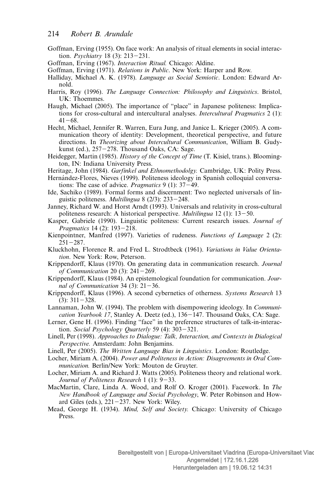- Goffman, Erving (1955). On face work: An analysis of ritual elements in social interaction. *Psychiatry* 18 (3): 213-231.
- Goffman, Erving (1967). *Interaction Ritual.* Chicago: Aldine.
- Goffman, Erving (1971). *Relations in Public*. New York: Harper and Row.
- Halliday, Michael A. K. (1978). *Language as Social Semiotic*. London: Edward Arnold.
- Harris, Roy (1996). *The Language Connection: Philosophy and Linguistics*. Bristol, UK: Thoemmes.
- Haugh, Michael (2005). The importance of "place" in Japanese politeness: Implications for cross-cultural and intercultural analyses. *Intercultural Pragmatics* 2 (1):  $41 - 68.$
- Hecht, Michael, Jennifer R. Warren, Eura Jung, and Janice L. Krieger (2005). A communication theory of identity: Development, theoretical perspective, and future directions. In *Theorizing about Intercultural Communication*, William B. Gudykunst (ed.), 257-278. Thousand Oaks, CA: Sage.
- Heidegger, Martin (1985). *History of the Concept of Time* (T. Kisiel, trans.). Bloomington, IN: Indiana University Press.
- Heritage, John (1984). *Garfinkel and Ethnomethodolgy.* Cambridge, UK: Polity Press.
- Hernández-Flores, Nieves (1999). Politeness ideology in Spanish colloquial conversations: The case of advice. *Pragmatics* 9 (1): 37-49.
- Ide, Sachiko (1989). Formal forms and discernment: Two neglected universals of linguistic politeness. *Multilingua* 8 (2/3): 233-248.
- Janney, Richard W. and Horst Arndt (1993). Universals and relativity in cross-cultural politeness research: A historical perspective. *Multilingua* 12 (1): 13-50.
- Kasper, Gabriele (1990). Linguistic politeness: Current research issues. *Journal of Pragmatics* 14 (2): 193-218.
- Kienpointner, Manfred (1997). Varieties of rudeness. *Functions of Language* 2 (2):  $251 - 287.$
- Kluckhohn, Florence R. and Fred L. Strodtbeck (1961). *Variations in Value Orientation*. New York: Row, Peterson.
- Krippendorff, Klaus (1970). On generating data in communication research. *Journal of Communication* 20 (3): 241-269.
- Krippendorff, Klaus (1984). An epistemological foundation for communication. *Journal of Communication* 34 (3): 21-36.
- Krippendorff, Klaus (1996). A second cybernetics of otherness. *Systems Research* 13 (3): 311-328.
- Lannaman, John W. (1994). The problem with disempowering ideology. In *Communi*cation Yearbook 17, Stanley A. Deetz (ed.), 136-147. Thousand Oaks, CA: Sage.
- Lerner, Gene H. (1996). Finding "face" in the preference structures of talk-in-interaction. *Social Psychology Quarterly* 59 (4): 303-321.
- Linell, Per (1998). *Approaches to Dialogue: Talk, Interaction, and Contexts in Dialogical Perspective.* Amsterdam: John Benjamins.
- Linell, Per (2005). *The Written Language Bias in Linguistics*. London: Routledge.
- Locher, Miriam A. (2004). *Power and Politeness in Action: Disagreements in Oral Communication.* Berlin/New York: Mouton de Gruyter.
- Locher, Miriam A. and Richard J. Watts (2005). Politeness theory and relational work. *Journal of Politeness Research* 1 (1): 9-33.
- MacMartin, Clare, Linda A. Wood, and Rolf O. Kroger (2001). Facework. In *The New Handbook of Language and Social Psychology*, W. Peter Robinson and Howard Giles (eds.), 221-237. New York: Wiley.
- Mead, George H. (1934). *Mind, Self and Society.* Chicago: University of Chicago Press.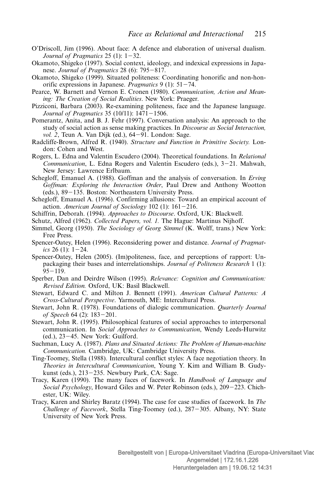- O'Driscoll, Jim (1996). About face: A defence and elaboration of universal dualism. *Journal of Pragmatics* 25 (1): 1-32.
- Okamoto, Shigeko (1997). Social context, ideology, and indexical expressions in Japanese. *Journal of Pragmatics* 28 (6): 795-817.
- Okamoto, Shigeko (1999). Situated politeness: Coordinating honorific and non-honorific expressions in Japanese. *Pragmatics* 9 (1): 51-74.
- Pearce, W. Barnett and Vernon E. Cronen (1980). *Communication, Action and Meaning: The Creation of Social Realities*. New York: Praeger.
- Pizziconi, Barbara (2003). Re-examining politeness, face and the Japanese language. *Journal of Pragmatics* 35 (10/11): 1471-1506.
- Pomerantz, Anita, and B. J. Fehr (1997). Conversation analysis: An approach to the study of social action as sense making practices. In *Discourse as Social Interaction, vol. 2*, Teun A. Van Dijk (ed.), 64-91. London: Sage.
- Radcliffe-Brown, Alfred R. (1940). *Structure and Function in Primitive Society.* London: Cohen and West.
- Rogers, L. Edna and Valentı´n Escudero (2004). Theoretical foundations. In *Relational* Communication, L. Edna Rogers and Valentín Escudero (eds.), 3-21. Mahwah, New Jersey: Lawrence Erlbaum.
- Schegloff, Emanuel A. (1988). Goffman and the analysis of conversation. In *Erving Goffman: Exploring the Interaction Order*, Paul Drew and Anthony Wootton (eds.), 89-135. Boston: Northeastern University Press.
- Schegloff, Emanuel A. (1996). Confirming allusions: Toward an empirical account of action. *American Journal of Sociology* 102 (1): 161-216.
- Schiffrin, Deborah. (1994). *Approaches to Discourse*. Oxford, UK: Blackwell.
- Schutz, Alfred (1962). *Collected Papers, vol. 1.* The Hague: Martinus Nijhoff.
- Simmel, Georg (1950). *The Sociology of Georg Simmel* (K. Wolff, trans.) New York: Free Press.
- Spencer-Oatey, Helen (1996). Reconsidering power and distance. *Journal of Pragmatics* 26 (1): 1-24.
- Spencer-Oatey, Helen (2005). (Im)politeness, face, and perceptions of rapport: Unpackaging their bases and interrelationships. *Journal of Politeness Research* 1 (1): 95-119.
- Sperber, Dan and Deirdre Wilson (1995). *Relevance: Cognition and Communication: Revised Edition.* Oxford, UK: Basil Blackwell.
- Stewart, Edward C. and Milton J. Bennett (1991). *American Cultural Patterns: A Cross-Cultural Perspective*. Yarmouth, ME: Intercultural Press.
- Stewart, John R. (1978). Foundations of dialogic communication. *Quarterly Journal of Speech* 64 (2): 183-201.
- Stewart, John R. (1995). Philosophical features of social approaches to interpersonal communication. In *Social Approaches to Communication*, Wendy Leeds-Hurwitz (ed.), 23-45. New York: Guilford.
- Suchman, Lucy A. (1987). *Plans and Situated Actions: The Problem of Human-machine Communication.* Cambridge, UK: Cambridge University Press.
- Ting-Toomey, Stella (1988). Intercultural conflict styles: A face negotiation theory. In *Theories in Intercultural Communication*, Young Y. Kim and William B. Gudykunst (eds.), 213-235. Newbury Park, CA: Sage.
- Tracy, Karen (1990). The many faces of facework. In *Handbook of Language and Social Psychology*, Howard Giles and W. Peter Robinson (eds.), 209-223. Chichester, UK: Wiley.
- Tracy, Karen and Shirley Baratz (1994). The case for case studies of facework. In *The Challenge of Facework*, Stella Ting-Toomey (ed.), 287-305. Albany, NY: State University of New York Press.